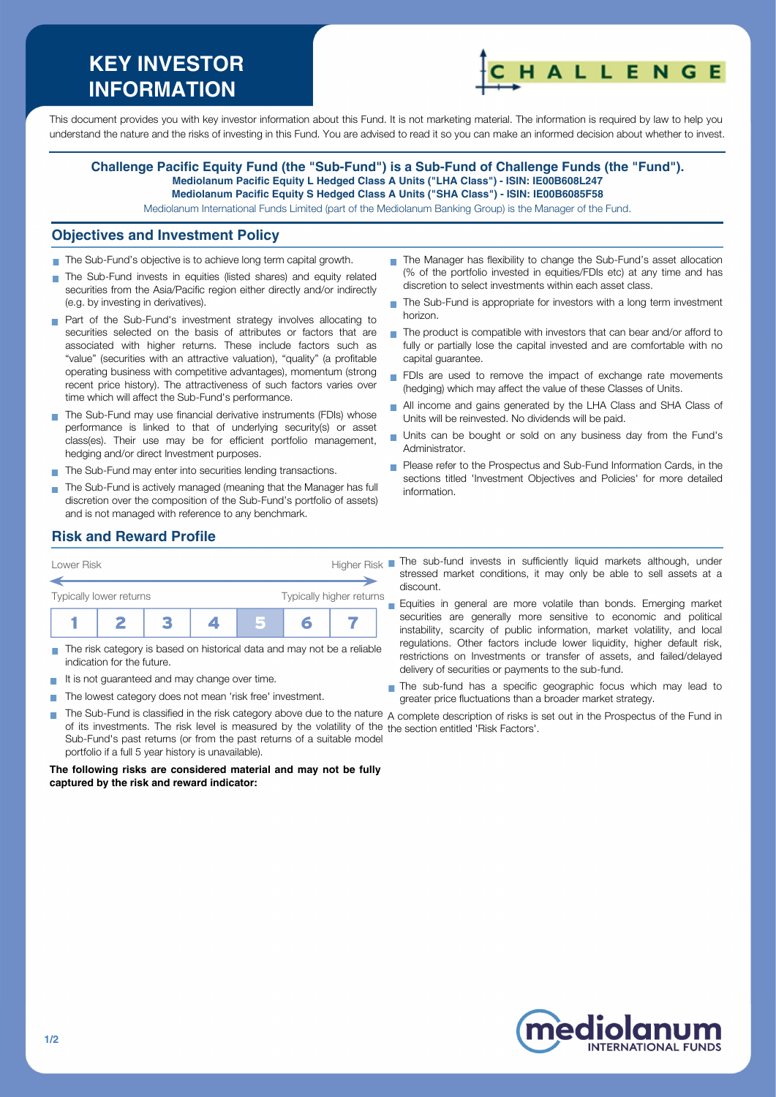# **KEY INVESTOR INFORMATION**



This document provides you with key investor information about this Fund. It is not marketing material. The information is required by law to help you understand the nature and the risks of investing in this Fund. You are advised to read it so you can make an informed decision about whether to invest.

#### **Challenge Pacific Equity Fund (the "Sub-Fund") is a Sub-Fund of Challenge Funds (the "Fund"). Mediolanum Pacific Equity L Hedged Class A Units ("LHA Class") - ISIN: IE00B608L247 Mediolanum Pacific Equity S Hedged Class A Units ("SHA Class") - ISIN: IE00B6085F58**

Mediolanum International Funds Limited (part of the Mediolanum Banking Group) is the Manager of the Fund.

#### **Objectives and Investment Policy**

- The Sub-Fund's objective is to achieve long term capital growth.
- The Sub-Fund invests in equities (listed shares) and equity related securities from the Asia/Pacific region either directly and/or indirectly (e.g. by investing in derivatives).
- **Part of the Sub-Fund's investment strategy involves allocating to** securities selected on the basis of attributes or factors that are associated with higher returns. These include factors such as "value" (securities with an attractive valuation), "quality" (a profitable operating business with competitive advantages), momentum (strong recent price history). The attractiveness of such factors varies over time which will affect the Sub-Fund's performance.
- The Sub-Fund may use financial derivative instruments (FDIs) whose performance is linked to that of underlying security(s) or asset class(es). Their use may be for efficient portfolio management, hedging and/or direct Investment purposes.
- The Sub-Fund may enter into securities lending transactions.
- The Sub-Fund is actively managed (meaning that the Manager has full discretion over the composition of the Sub-Fund's portfolio of assets) and is not managed with reference to any benchmark.
- The Manager has flexibility to change the Sub-Fund's asset allocation (% of the portfolio invested in equities/FDIs etc) at any time and has discretion to select investments within each asset class.
- The Sub-Fund is appropriate for investors with a long term investment  $\overline{\phantom{a}}$ horizon.
- $\blacksquare$  The product is compatible with investors that can bear and/or afford to fully or partially lose the capital invested and are comfortable with no capital guarantee.
- FDIs are used to remove the impact of exchange rate movements (hedging) which may affect the value of these Classes of Units.
- All income and gains generated by the LHA Class and SHA Class of  $\overline{\phantom{a}}$ Units will be reinvested. No dividends will be paid.
- Units can be bought or sold on any business day from the Fund's Administrator.
- **Please refer to the Prospectus and Sub-Fund Information Cards, in the** sections titled 'Investment Objectives and Policies' for more detailed information.

## **Risk and Reward Profile**



- The risk category is based on historical data and may not be a reliable indication for the future.
- It is not quaranteed and may change over time.
- The lowest category does not mean 'risk free' investment.  $\sim$

stressed market conditions, it may only be able to sell assets at a discount.

Equities in general are more volatile than bonds. Emerging market  $\blacksquare$ securities are generally more sensitive to economic and political instability, scarcity of public information, market volatility, and local regulations. Other factors include lower liquidity, higher default risk, restrictions on Investments or transfer of assets, and failed/delayed delivery of securities or payments to the sub-fund.

The sub-fund has a specific geographic focus which may lead to greater price fluctuations than a broader market strategy.

The Sub-Fund is classified in the risk category above due to the nature  $\,$  complete description of risks is set out in the Prospectus of the Fund in of its investments. The risk level is measured by the volatility of the the section entitled 'Risk Factors'.Sub-Fund's past returns (or from the past returns of a suitable model portfolio if a full 5 year history is unavailable).

**The following risks are considered material and may not be fully captured by the risk and reward indicator:**



**T**